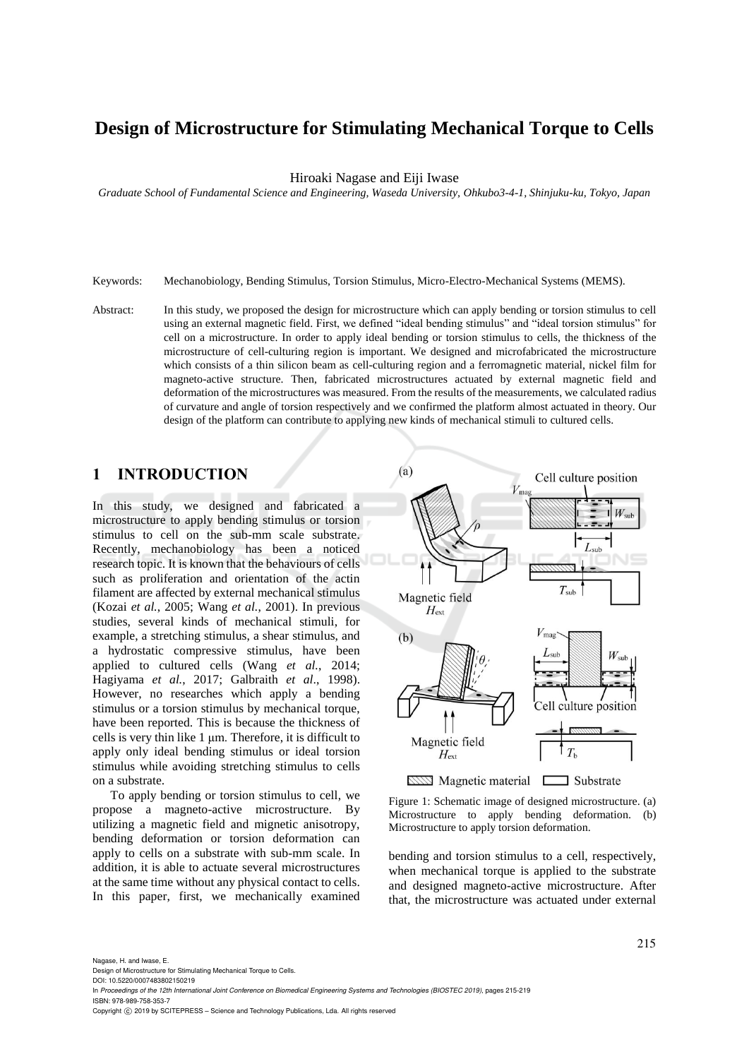# **Design of Microstructure for Stimulating Mechanical Torque to Cells**

Hiroaki Nagase and Eiji Iwase

*Graduate School of Fundamental Science and Engineering, Waseda University, Ohkubo3-4-1, Shinjuku-ku, Tokyo, Japan*

- Keywords: Mechanobiology, Bending Stimulus, Torsion Stimulus, Micro-Electro-Mechanical Systems (MEMS).
- Abstract: In this study, we proposed the design for microstructure which can apply bending or torsion stimulus to cell using an external magnetic field. First, we defined "ideal bending stimulus" and "ideal torsion stimulus" for cell on a microstructure. In order to apply ideal bending or torsion stimulus to cells, the thickness of the microstructure of cell-culturing region is important. We designed and microfabricated the microstructure which consists of a thin silicon beam as cell-culturing region and a ferromagnetic material, nickel film for magneto-active structure. Then, fabricated microstructures actuated by external magnetic field and deformation of the microstructures was measured. From the results of the measurements, we calculated radius of curvature and angle of torsion respectively and we confirmed the platform almost actuated in theory. Our design of the platform can contribute to applying new kinds of mechanical stimuli to cultured cells.

## **1 INTRODUCTION**

In this study, we designed and fabricated a microstructure to apply bending stimulus or torsion stimulus to cell on the sub-mm scale substrate. Recently, mechanobiology has been a noticed research topic. It is known that the behaviours of cells such as proliferation and orientation of the actin filament are affected by external mechanical stimulus (Kozai *et al.*, 2005; Wang *et al.*, 2001). In previous studies, several kinds of mechanical stimuli, for example, a stretching stimulus, a shear stimulus, and a hydrostatic compressive stimulus, have been applied to cultured cells (Wang *et al.*, 2014; Hagiyama *et al.*, 2017; Galbraith *et al*., 1998). However, no researches which apply a bending stimulus or a torsion stimulus by mechanical torque, have been reported. This is because the thickness of cells is very thin like 1 μm. Therefore, it is difficult to apply only ideal bending stimulus or ideal torsion stimulus while avoiding stretching stimulus to cells on a substrate.

To apply bending or torsion stimulus to cell, we propose a magneto-active microstructure. By utilizing a magnetic field and mignetic anisotropy, bending deformation or torsion deformation can apply to cells on a substrate with sub-mm scale. In addition, it is able to actuate several microstructures at the same time without any physical contact to cells. In this paper, first, we mechanically examined



Figure 1: Schematic image of designed microstructure. (a) Microstructure to apply bending deformation. (b) Microstructure to apply torsion deformation.

bending and torsion stimulus to a cell, respectively, when mechanical torque is applied to the substrate and designed magneto-active microstructure. After that, the microstructure was actuated under external

Nagase, H. and Iwase, E.

Design of Microstructure for Stimulating Mechanical Torque to Cells.

DOI: 10.5220/0007483802150219

In *Proceedings of the 12th International Joint Conference on Biomedical Engineering Systems and Technologies (BIOSTEC 2019)*, pages 215-219 ISBN: 978-989-758-353-7

Copyright (C) 2019 by SCITEPRESS - Science and Technology Publications, Lda. All rights reserved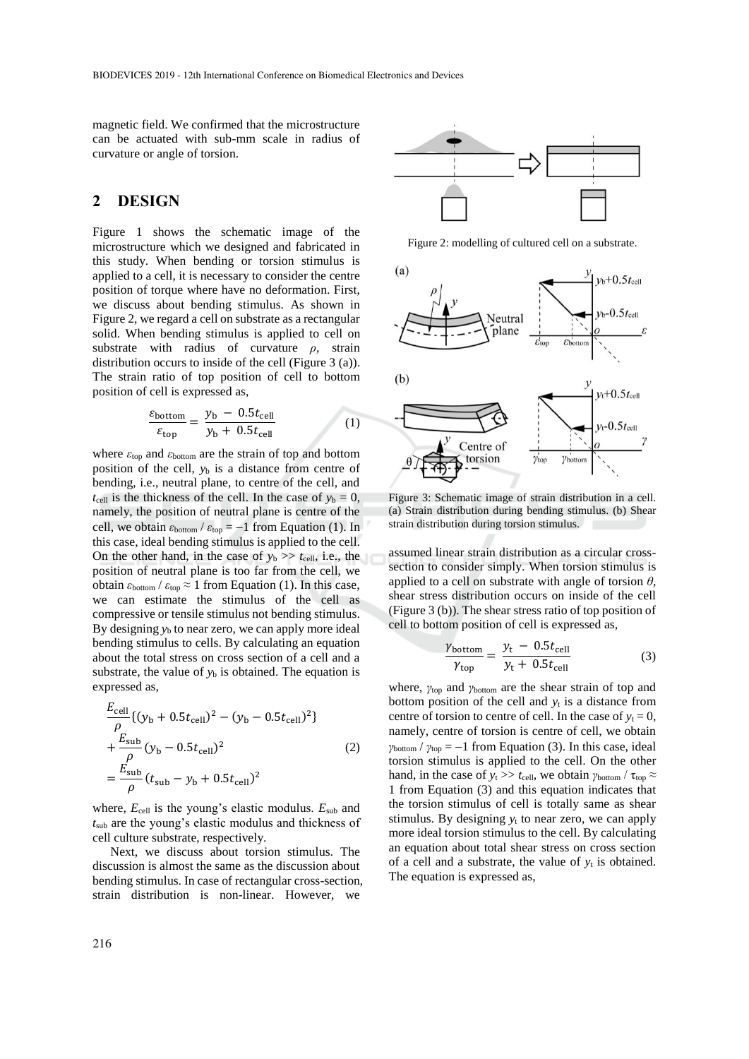magnetic field. We confirmed that the microstructure can be actuated with sub-mm scale in radius of curvature or angle of torsion.

## **2 DESIGN**

Figure 1 shows the schematic image of the microstructure which we designed and fabricated in this study. When bending or torsion stimulus is applied to a cell, it is necessary to consider the centre position of torque where have no deformation. First, we discuss about bending stimulus. As shown in Figure 2, we regard a cell on substrate as a rectangular solid. When bending stimulus is applied to cell on substrate with radius of curvature *ρ*, strain distribution occurs to inside of the cell (Figure 3 (a)). The strain ratio of top position of cell to bottom position of cell is expressed as,

$$
\frac{\varepsilon_{\text{bottom}}}{\varepsilon_{\text{top}}} = \frac{y_{\text{b}} - 0.5t_{\text{cell}}}{y_{\text{b}} + 0.5t_{\text{cell}}}
$$
(1)

where *ε*top and *ε*bottom are the strain of top and bottom position of the cell,  $y<sub>b</sub>$  is a distance from centre of bending, i.e., neutral plane, to centre of the cell, and  $t_{cell}$  is the thickness of the cell. In the case of  $y_b = 0$ , namely, the position of neutral plane is centre of the cell, we obtain  $\varepsilon_{bottom} / \varepsilon_{top} = -1$  from Equation (1). In this case, ideal bending stimulus is applied to the cell. On the other hand, in the case of  $y_b \gg t_{cell}$ , i.e., the position of neutral plane is too far from the cell, we obtain  $\varepsilon$ <sub>bottom</sub> /  $\varepsilon$ <sub>top</sub>  $\approx$  1 from Equation (1). In this case, we can estimate the stimulus of the cell as compressive or tensile stimulus not bending stimulus. By designing  $y<sub>b</sub>$  to near zero, we can apply more ideal bending stimulus to cells. By calculating an equation about the total stress on cross section of a cell and a substrate, the value of  $y<sub>b</sub>$  is obtained. The equation is expressed as,

$$
\frac{E_{\text{cell}}}{\rho} \{ (y_b + 0.5t_{\text{cell}})^2 - (y_b - 0.5t_{\text{cell}})^2 \} + \frac{E_{\text{sub}}}{\rho} (y_b - 0.5t_{\text{cell}})^2
$$
\n
$$
= \frac{E_{\text{sub}}}{\rho} (t_{\text{sub}} - y_b + 0.5t_{\text{cell}})^2
$$
\n(2)

where,  $E_{cell}$  is the young's elastic modulus.  $E_{sub}$  and *t*sub are the young's elastic modulus and thickness of cell culture substrate, respectively.

Next, we discuss about torsion stimulus. The discussion is almost the same as the discussion about bending stimulus. In case of rectangular cross-section, strain distribution is non-linear. However, we



Figure 2: modelling of cultured cell on a substrate.



Figure 3: Schematic image of strain distribution in a cell. (a) Strain distribution during bending stimulus. (b) Shear strain distribution during torsion stimulus.

assumed linear strain distribution as a circular crosssection to consider simply. When torsion stimulus is applied to a cell on substrate with angle of torsion *θ*, shear stress distribution occurs on inside of the cell (Figure 3 (b)). The shear stress ratio of top position of cell to bottom position of cell is expressed as,

$$
\frac{\gamma_{\text{bottom}}}{\gamma_{\text{top}}} = \frac{y_t - 0.5t_{\text{cell}}}{y_t + 0.5t_{\text{cell}}}
$$
(3)

where, *γ*top and *γ*bottom are the shear strain of top and bottom position of the cell and  $y_t$  is a distance from centre of torsion to centre of cell. In the case of  $y_t = 0$ , namely, centre of torsion is centre of cell, we obtain  $\gamma$ <sub>bottom</sub> /  $\gamma$ <sub>top</sub> = -1 from Equation (3). In this case, ideal torsion stimulus is applied to the cell. On the other hand, in the case of  $y_t \gg t_{cell}$ , we obtain  $\gamma_{bottom} / \tau_{top} \approx$ 1 from Equation (3) and this equation indicates that the torsion stimulus of cell is totally same as shear stimulus. By designing  $y_t$  to near zero, we can apply more ideal torsion stimulus to the cell. By calculating an equation about total shear stress on cross section of a cell and a substrate, the value of  $y_t$  is obtained. The equation is expressed as,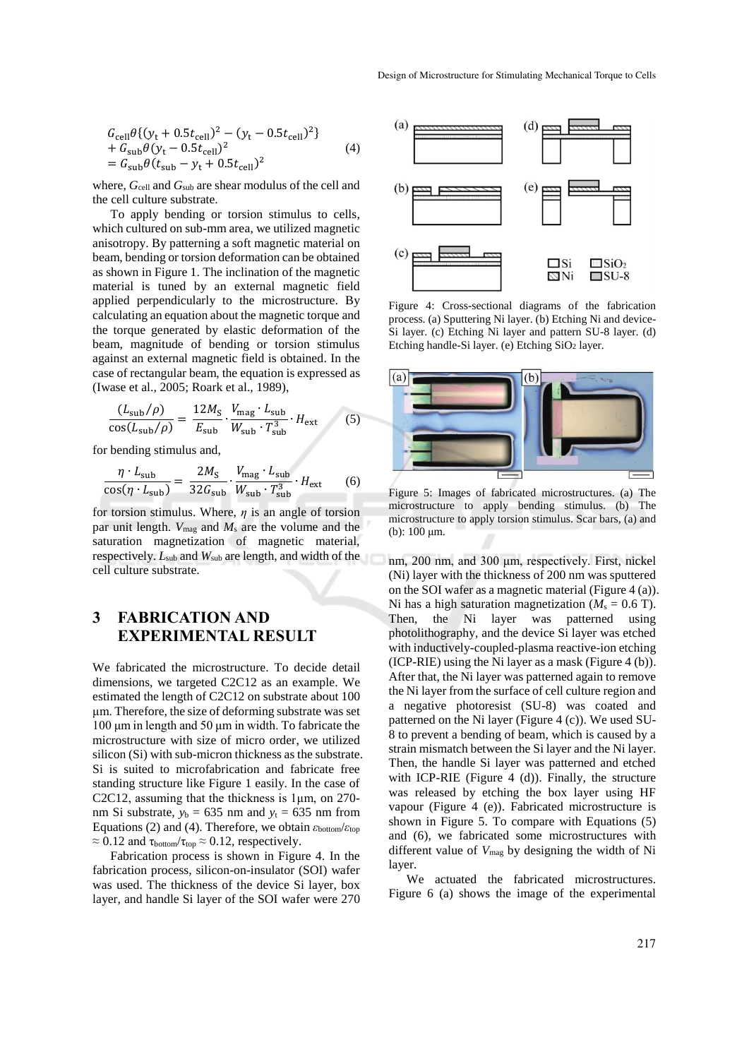$$
G_{\text{cell}} \theta \{ (y_t + 0.5t_{\text{cell}})^2 - (y_t - 0.5t_{\text{cell}})^2 \} + G_{\text{sub}} \theta (y_t - 0.5t_{\text{cell}})^2 = G_{\text{sub}} \theta (t_{\text{sub}} - y_t + 0.5t_{\text{cell}})^2
$$
(4)

where,  $G_{\text{cell}}$  and  $G_{\text{sub}}$  are shear modulus of the cell and the cell culture substrate.

To apply bending or torsion stimulus to cells, which cultured on sub-mm area, we utilized magnetic anisotropy. By patterning a soft magnetic material on beam, bending or torsion deformation can be obtained as shown in Figure 1. The inclination of the magnetic material is tuned by an external magnetic field applied perpendicularly to the microstructure. By calculating an equation about the magnetic torque and the torque generated by elastic deformation of the beam, magnitude of bending or torsion stimulus against an external magnetic field is obtained. In the case of rectangular beam, the equation is expressed as (Iwase et al., 2005; Roark et al., 1989),

$$
\frac{(L_{\rm sub}/\rho)}{\cos(L_{\rm sub}/\rho)} = \frac{12M_{\rm S}}{E_{\rm sub}} \cdot \frac{V_{\rm mag} \cdot L_{\rm sub}}{W_{\rm sub} \cdot T_{\rm sub}^3} \cdot H_{\rm ext}
$$
(5)

for bending stimulus and,

$$
\frac{\eta \cdot L_{\text{sub}}}{\cos(\eta \cdot L_{\text{sub}})} = \frac{2M_{\text{S}}}{32G_{\text{sub}}} \cdot \frac{V_{\text{mag}} \cdot L_{\text{sub}}}{W_{\text{sub}} \cdot T_{\text{sub}}^3} \cdot H_{\text{ext}}
$$
(6)

for torsion stimulus. Where, *η* is an angle of torsion par unit length. *V*mag and *M*<sup>s</sup> are the volume and the saturation magnetization of magnetic material, respectively. *L*sub and *W*sub are length, and width of the cell culture substrate.

# **3 FABRICATION AND EXPERIMENTAL RESULT**

We fabricated the microstructure. To decide detail dimensions, we targeted C2C12 as an example. We estimated the length of C2C12 on substrate about 100 μm. Therefore, the size of deforming substrate was set 100 μm in length and 50 μm in width. To fabricate the microstructure with size of micro order, we utilized silicon (Si) with sub-micron thickness as the substrate. Si is suited to microfabrication and fabricate free standing structure like Figure 1 easily. In the case of C2C12, assuming that the thickness is 1μm, on 270 nm Si substrate,  $y_b = 635$  nm and  $y_t = 635$  nm from Equations (2) and (4). Therefore, we obtain *ε*bottom/*ε*top  $\approx 0.12$  and  $\tau_{bottom}/\tau_{top} \approx 0.12$ , respectively.

Fabrication process is shown in Figure 4. In the fabrication process, silicon-on-insulator (SOI) wafer was used. The thickness of the device Si layer, box layer, and handle Si layer of the SOI wafer were 270



Figure 4: Cross-sectional diagrams of the fabrication process. (a) Sputtering Ni layer. (b) Etching Ni and device-Si layer. (c) Etching Ni layer and pattern SU-8 layer. (d) Etching handle-Si layer. (e) Etching SiO<sub>2</sub> layer.



Figure 5: Images of fabricated microstructures. (a) The microstructure to apply bending stimulus. (b) The microstructure to apply torsion stimulus. Scar bars, (a) and (b): 100 μm.

nm, 200 nm, and 300 μm, respectively. First, nickel (Ni) layer with the thickness of 200 nm was sputtered on the SOI wafer as a magnetic material (Figure 4 (a)). Ni has a high saturation magnetization  $(M_s = 0.6$  T). Then, the Ni layer was patterned using photolithography, and the device Si layer was etched with inductively-coupled-plasma reactive-ion etching  $(ICP-RIE)$  using the Ni layer as a mask (Figure 4 (b)). After that, the Ni layer was patterned again to remove the Ni layer from the surface of cell culture region and a negative photoresist (SU-8) was coated and patterned on the Ni layer (Figure 4 (c)). We used SU-8 to prevent a bending of beam, which is caused by a strain mismatch between the Si layer and the Ni layer. Then, the handle Si layer was patterned and etched with ICP-RIE (Figure 4 (d)). Finally, the structure was released by etching the box layer using HF vapour (Figure 4 (e)). Fabricated microstructure is shown in Figure 5. To compare with Equations (5) and (6), we fabricated some microstructures with different value of *V*mag by designing the width of Ni layer.

We actuated the fabricated microstructures. Figure 6 (a) shows the image of the experimental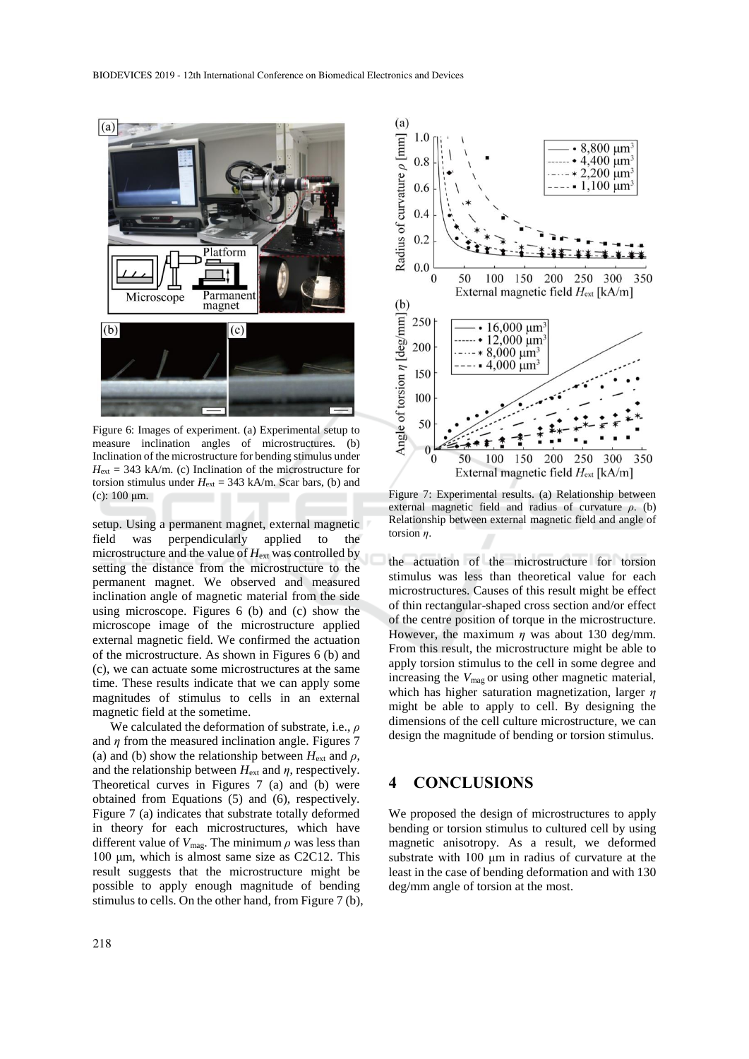

Figure 6: Images of experiment. (a) Experimental setup to measure inclination angles of microstructures. (b) Inclination of the microstructure for bending stimulus under  $H_{\text{ext}} = 343$  kA/m. (c) Inclination of the microstructure for torsion stimulus under  $H_{ext} = 343$  kA/m. Scar bars, (b) and (c):  $100 \mu m$ .

setup. Using a permanent magnet, external magnetic field was perpendicularly applied to the microstructure and the value of *H*ext was controlled by setting the distance from the microstructure to the permanent magnet. We observed and measured inclination angle of magnetic material from the side using microscope. Figures 6 (b) and (c) show the microscope image of the microstructure applied external magnetic field. We confirmed the actuation of the microstructure. As shown in Figures 6 (b) and (c), we can actuate some microstructures at the same time. These results indicate that we can apply some magnitudes of stimulus to cells in an external magnetic field at the sometime.

We calculated the deformation of substrate, i.e., *ρ* and  $\eta$  from the measured inclination angle. Figures 7 (a) and (b) show the relationship between  $H_{ext}$  and  $\rho$ , and the relationship between  $H_{ext}$  and  $\eta$ , respectively. Theoretical curves in Figures 7 (a) and (b) were obtained from Equations (5) and (6), respectively. Figure 7 (a) indicates that substrate totally deformed in theory for each microstructures, which have different value of  $V_{\text{mag}}$ . The minimum  $\rho$  was less than 100 μm, which is almost same size as C2C12. This result suggests that the microstructure might be possible to apply enough magnitude of bending stimulus to cells. On the other hand, from Figure 7 (b),



Figure 7: Experimental results. (a) Relationship between external magnetic field and radius of curvature *ρ*. (b) Relationship between external magnetic field and angle of torsion *η*.

the actuation of the microstructure for torsion stimulus was less than theoretical value for each microstructures. Causes of this result might be effect of thin rectangular-shaped cross section and/or effect of the centre position of torque in the microstructure. However, the maximum  $\eta$  was about 130 deg/mm. From this result, the microstructure might be able to apply torsion stimulus to the cell in some degree and increasing the *V*mag or using other magnetic material, which has higher saturation magnetization, larger *η* might be able to apply to cell. By designing the dimensions of the cell culture microstructure, we can design the magnitude of bending or torsion stimulus.

## **4 CONCLUSIONS**

We proposed the design of microstructures to apply bending or torsion stimulus to cultured cell by using magnetic anisotropy. As a result, we deformed substrate with 100 μm in radius of curvature at the least in the case of bending deformation and with 130 deg/mm angle of torsion at the most.